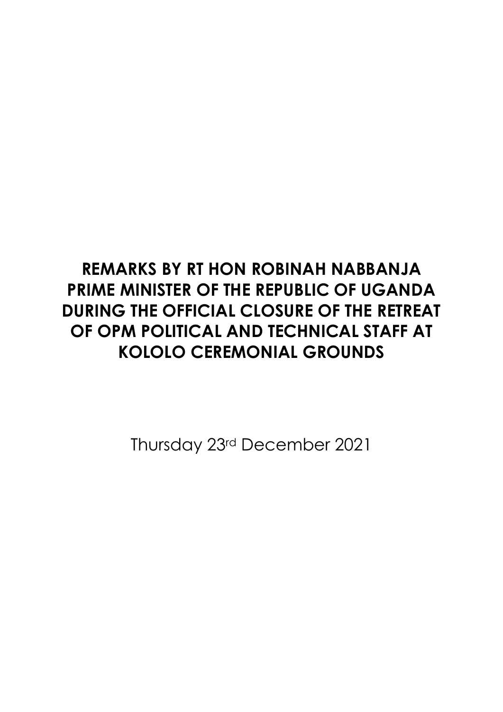## **REMARKS BY RT HON ROBINAH NABBANJA PRIME MINISTER OF THE REPUBLIC OF UGANDA DURING THE OFFICIAL CLOSURE OF THE RETREAT OF OPM POLITICAL AND TECHNICAL STAFF AT KOLOLO CEREMONIAL GROUNDS**

Thursday 23rd December 2021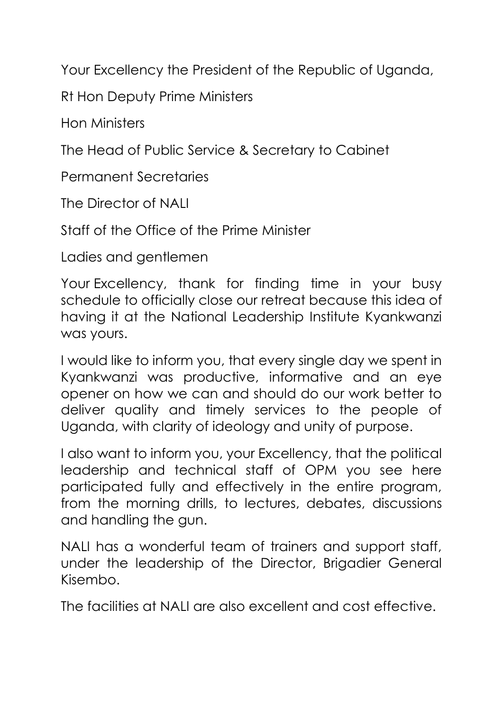Your Excellency the President of the Republic of Uganda,

Rt Hon Deputy Prime Ministers

Hon Ministers

The Head of Public Service & Secretary to Cabinet

Permanent Secretaries

The Director of NALI

Staff of the Office of the Prime Minister

Ladies and gentlemen

Your Excellency, thank for finding time in your busy schedule to officially close our retreat because this idea of having it at the National Leadership Institute Kyankwanzi was yours.

I would like to inform you, that every single day we spent in Kyankwanzi was productive, informative and an eye opener on how we can and should do our work better to deliver quality and timely services to the people of Uganda, with clarity of ideology and unity of purpose.

I also want to inform you, your Excellency, that the political leadership and technical staff of OPM you see here participated fully and effectively in the entire program, from the morning drills, to lectures, debates, discussions and handling the gun.

NALI has a wonderful team of trainers and support staff, under the leadership of the Director, Brigadier General Kisembo.

The facilities at NALI are also excellent and cost effective.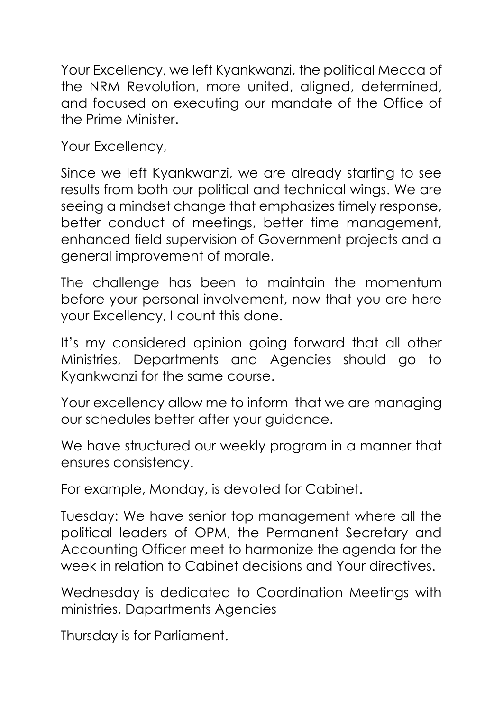Your Excellency, we left Kyankwanzi, the political Mecca of the NRM Revolution, more united, aligned, determined, and focused on executing our mandate of the Office of the Prime Minister.

Your Excellency,

Since we left Kyankwanzi, we are already starting to see results from both our political and technical wings. We are seeing a mindset change that emphasizes timely response, better conduct of meetings, better time management, enhanced field supervision of Government projects and a general improvement of morale.

The challenge has been to maintain the momentum before your personal involvement, now that you are here your Excellency, I count this done.

It's my considered opinion going forward that all other Ministries, Departments and Agencies should go to Kyankwanzi for the same course.

Your excellency allow me to inform that we are managing our schedules better after your guidance.

We have structured our weekly program in a manner that ensures consistency.

For example, Monday, is devoted for Cabinet.

Tuesday: We have senior top management where all the political leaders of OPM, the Permanent Secretary and Accounting Officer meet to harmonize the agenda for the week in relation to Cabinet decisions and Your directives.

Wednesday is dedicated to Coordination Meetings with ministries, Dapartments Agencies

Thursday is for Parliament.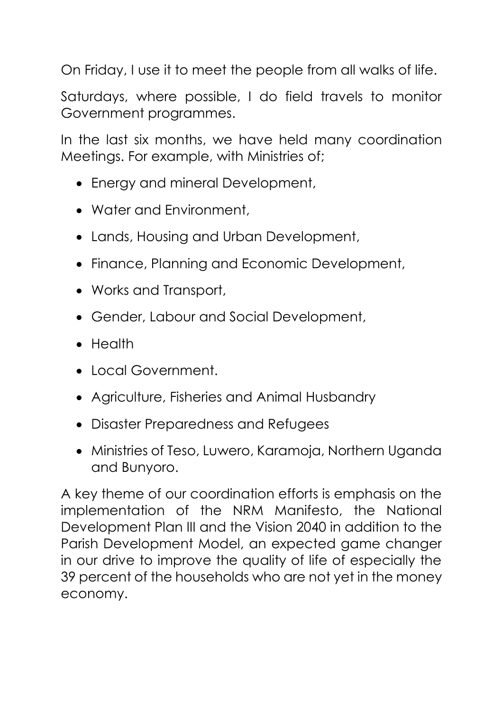On Friday, I use it to meet the people from all walks of life.

Saturdays, where possible, I do field travels to monitor Government programmes.

In the last six months, we have held many coordination Meetings. For example, with Ministries of;

- Energy and mineral Development,
- Water and Environment,
- Lands, Housing and Urban Development,
- Finance, Planning and Economic Development,
- Works and Transport,
- Gender, Labour and Social Development,
- Health
- Local Government.
- Agriculture, Fisheries and Animal Husbandry
- Disaster Preparedness and Refugees
- Ministries of Teso, Luwero, Karamoja, Northern Uganda and Bunyoro.

A key theme of our coordination efforts is emphasis on the implementation of the NRM Manifesto, the National Development Plan III and the Vision 2040 in addition to the Parish Development Model, an expected game changer in our drive to improve the quality of life of especially the 39 percent of the households who are not yet in the money economy.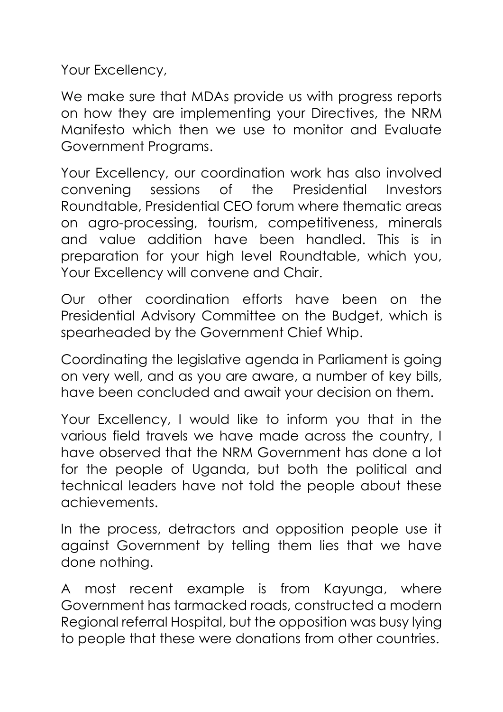Your Excellency,

We make sure that MDAs provide us with progress reports on how they are implementing your Directives, the NRM Manifesto which then we use to monitor and Evaluate Government Programs.

Your Excellency, our coordination work has also involved convening sessions of the Presidential Investors Roundtable, Presidential CEO forum where thematic areas on agro-processing, tourism, competitiveness, minerals and value addition have been handled. This is in preparation for your high level Roundtable, which you, Your Excellency will convene and Chair.

Our other coordination efforts have been on the Presidential Advisory Committee on the Budget, which is spearheaded by the Government Chief Whip.

Coordinating the legislative agenda in Parliament is going on very well, and as you are aware, a number of key bills, have been concluded and await your decision on them.

Your Excellency, I would like to inform you that in the various field travels we have made across the country, I have observed that the NRM Government has done a lot for the people of Uganda, but both the political and technical leaders have not told the people about these achievements.

In the process, detractors and opposition people use it against Government by telling them lies that we have done nothing.

A most recent example is from Kayunga, where Government has tarmacked roads, constructed a modern Regional referral Hospital, but the opposition was busy lying to people that these were donations from other countries.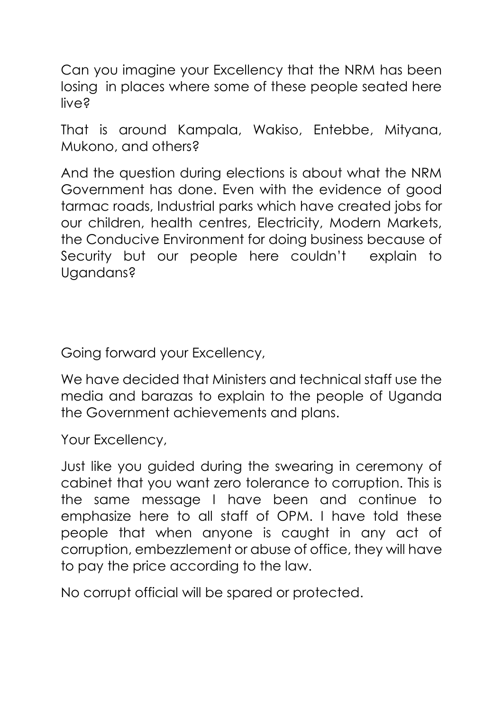Can you imagine your Excellency that the NRM has been losing in places where some of these people seated here live?

That is around Kampala, Wakiso, Entebbe, Mityana, Mukono, and others?

And the question during elections is about what the NRM Government has done. Even with the evidence of good tarmac roads, Industrial parks which have created jobs for our children, health centres, Electricity, Modern Markets, the Conducive Environment for doing business because of Security but our people here couldn't explain to Ugandans?

Going forward your Excellency,

We have decided that Ministers and technical staff use the media and barazas to explain to the people of Uganda the Government achievements and plans.

Your Excellency,

Just like you guided during the swearing in ceremony of cabinet that you want zero tolerance to corruption. This is the same message I have been and continue to emphasize here to all staff of OPM. I have told these people that when anyone is caught in any act of corruption, embezzlement or abuse of office, they will have to pay the price according to the law.

No corrupt official will be spared or protected.